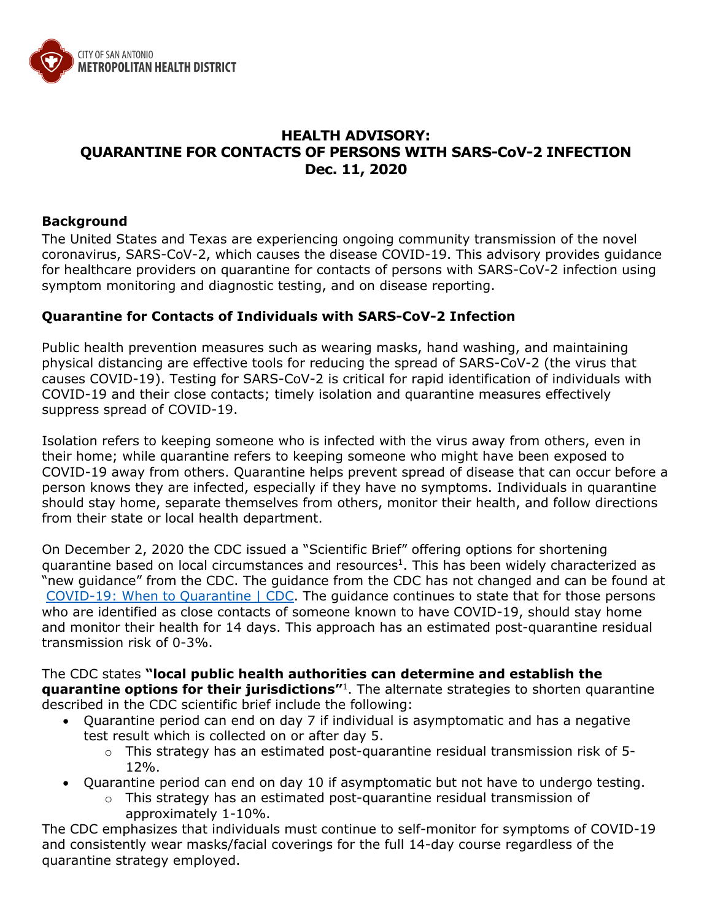

## **HEALTH ADVISORY: QUARANTINE FOR CONTACTS OF PERSONS WITH SARS-CoV-2 INFECTION Dec. 11, 2020**

## **Background**

The United States and Texas are experiencing ongoing community transmission of the novel coronavirus, SARS-CoV-2, which causes the disease COVID-19. This advisory provides guidance for healthcare providers on quarantine for contacts of persons with SARS-CoV-2 infection using symptom monitoring and diagnostic testing, and on disease reporting.

## **Quarantine for Contacts of Individuals with SARS-CoV-2 Infection**

Public health prevention measures such as wearing masks, hand washing, and maintaining physical distancing are effective tools for reducing the spread of SARS-CoV-2 (the virus that causes COVID-19). Testing for SARS-CoV-2 is critical for rapid identification of individuals with COVID-19 and their close contacts; timely isolation and quarantine measures effectively suppress spread of COVID-19.

Isolation refers to keeping someone who is infected with the virus away from others, even in their home; while quarantine refers to keeping someone who might have been exposed to COVID-19 away from others. Quarantine helps prevent spread of disease that can occur before a person knows they are infected, especially if they have no symptoms. Individuals in quarantine should stay home, separate themselves from others, monitor their health, and follow directions from their state or local health department.

On December 2, 2020 the CDC issued a "Scientific Brief" offering options for shortening quarantine based on local circumstances and resources<sup>1</sup>. This has been widely characterized as "new guidance" from the CDC. The guidance from the CDC has not changed and can be found at [COVID-19: When to Quarantine | CDC.](https://www.cdc.gov/coronavirus/2019-ncov/if-you-are-sick/quarantine.html) The guidance continues to state that for those persons who are identified as close contacts of someone known to have COVID-19, should stay home and monitor their health for 14 days. This approach has an estimated post-quarantine residual transmission risk of 0-3%.

The CDC states **"local public health authorities can determine and establish the quarantine options for their jurisdictions"**1. The alternate strategies to shorten quarantine described in the CDC scientific brief include the following:

- Quarantine period can end on day 7 if individual is asymptomatic and has a negative test result which is collected on or after day 5.
	- $\circ$  This strategy has an estimated post-quarantine residual transmission risk of 5-12%.
- Quarantine period can end on day 10 if asymptomatic but not have to undergo testing.
	- o This strategy has an estimated post-quarantine residual transmission of approximately 1-10%.

The CDC emphasizes that individuals must continue to self-monitor for symptoms of COVID-19 and consistently wear masks/facial coverings for the full 14-day course regardless of the quarantine strategy employed.